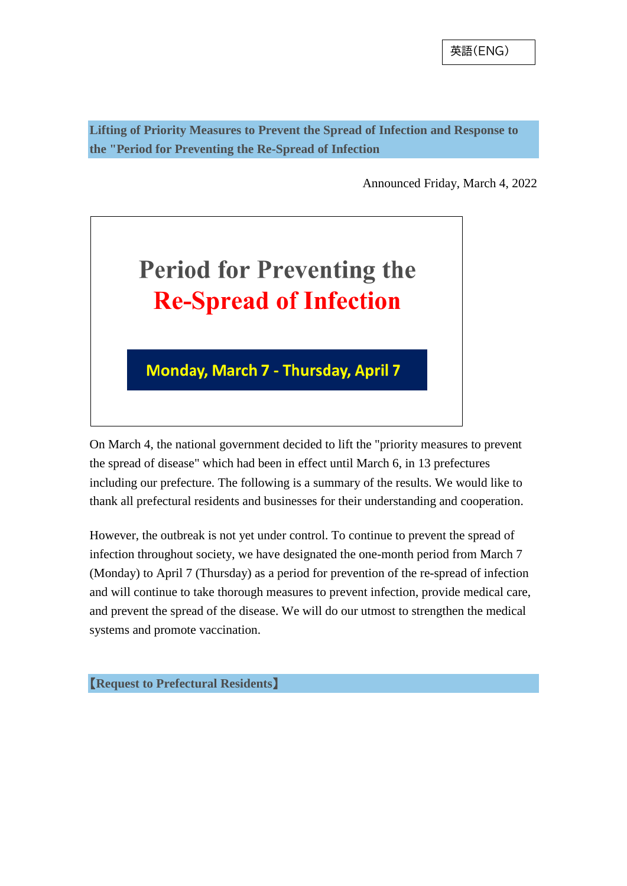**Lifting of Priority Measures to Prevent the Spread of Infection and Response to the "Period for Preventing the Re-Spread of Infection**

Announced Friday, March 4, 2022



On March 4, the national government decided to lift the "priority measures to prevent the spread of disease" which had been in effect until March 6, in 13 prefectures including our prefecture. The following is a summary of the results. We would like to thank all prefectural residents and businesses for their understanding and cooperation.

However, the outbreak is not yet under control. To continue to prevent the spread of infection throughout society, we have designated the one-month period from March 7 (Monday) to April 7 (Thursday) as a period for prevention of the re-spread of infection and will continue to take thorough measures to prevent infection, provide medical care, and prevent the spread of the disease. We will do our utmost to strengthen the medical systems and promote vaccination.

【**Request to Prefectural Residents**】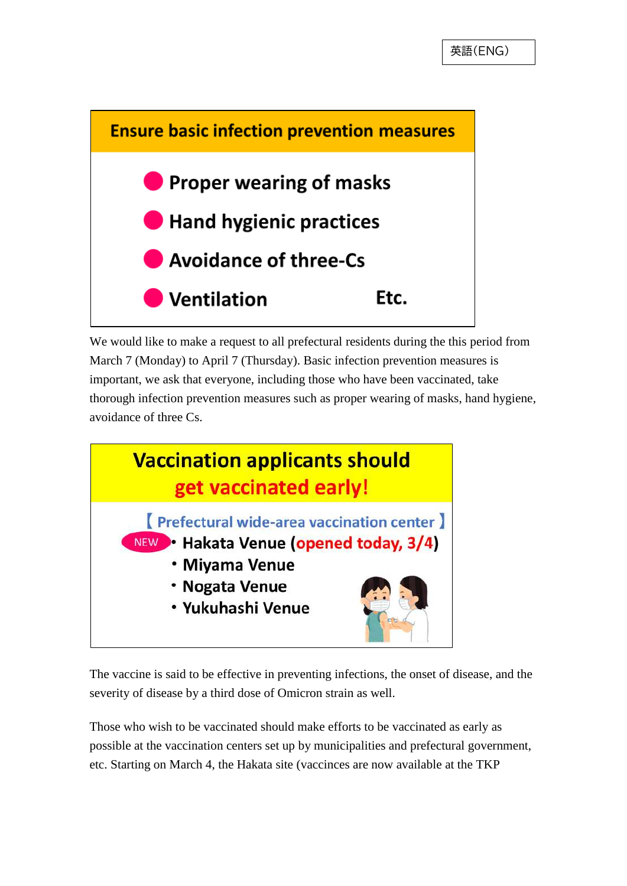

We would like to make a request to all prefectural residents during the this period from March 7 (Monday) to April 7 (Thursday). Basic infection prevention measures is important, we ask that everyone, including those who have been vaccinated, take thorough infection prevention measures such as proper wearing of masks, hand hygiene, avoidance of three Cs.



The vaccine is said to be effective in preventing infections, the onset of disease, and the severity of disease by a third dose of Omicron strain as well.

Those who wish to be vaccinated should make efforts to be vaccinated as early as possible at the vaccination centers set up by municipalities and prefectural government, etc. Starting on March 4, the Hakata site (vaccinces are now available at the TKP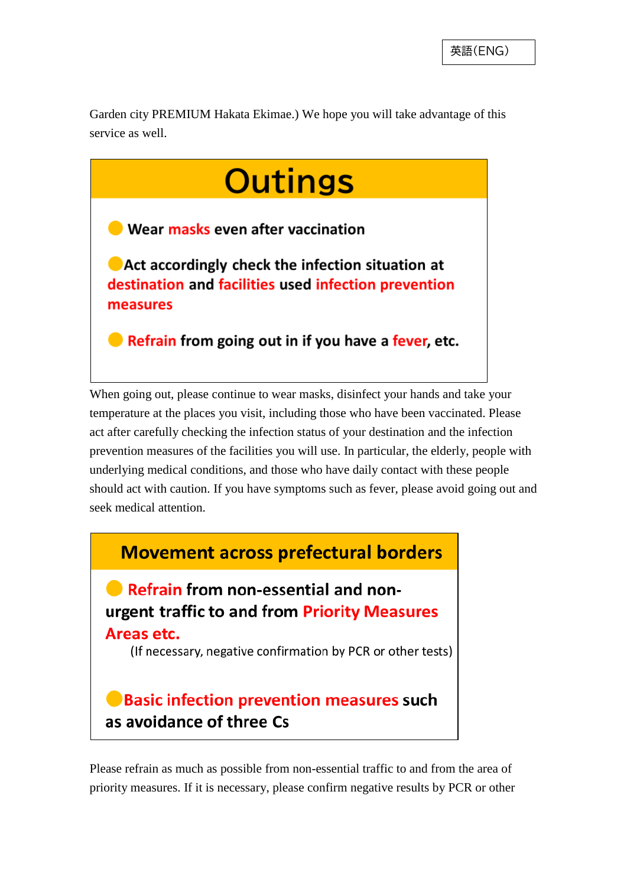Garden city PREMIUM Hakata Ekimae.) We hope you will take advantage of this service as well.



When going out, please continue to wear masks, disinfect your hands and take your temperature at the places you visit, including those who have been vaccinated. Please act after carefully checking the infection status of your destination and the infection prevention measures of the facilities you will use. In particular, the elderly, people with underlying medical conditions, and those who have daily contact with these people should act with caution. If you have symptoms such as fever, please avoid going out and seek medical attention.



Please refrain as much as possible from non-essential traffic to and from the area of priority measures. If it is necessary, please confirm negative results by PCR or other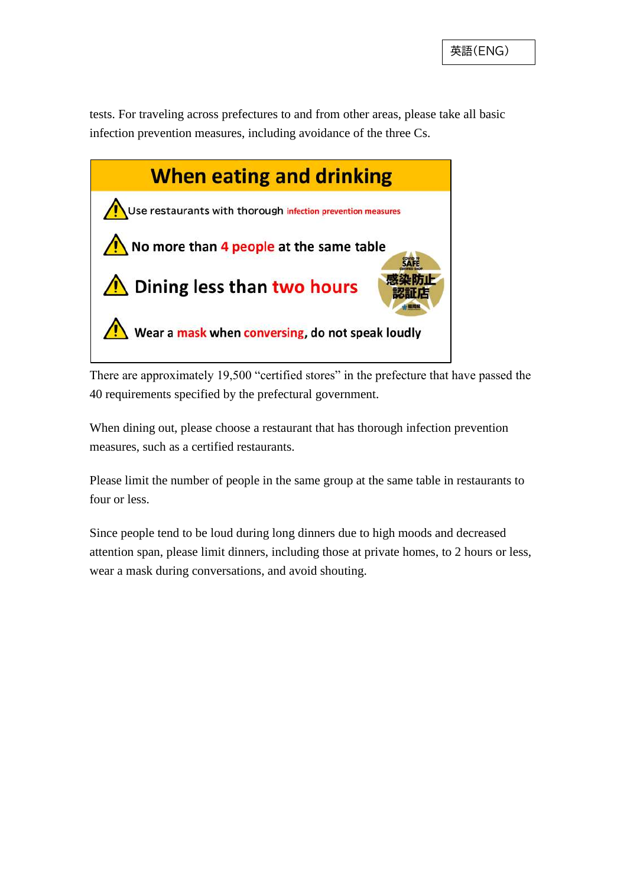tests. For traveling across prefectures to and from other areas, please take all basic infection prevention measures, including avoidance of the three Cs.



There are approximately 19,500 "certified stores" in the prefecture that have passed the 40 requirements specified by the prefectural government.

When dining out, please choose a restaurant that has thorough infection prevention measures, such as a certified restaurants.

Please limit the number of people in the same group at the same table in restaurants to four or less.

Since people tend to be loud during long dinners due to high moods and decreased attention span, please limit dinners, including those at private homes, to 2 hours or less, wear a mask during conversations, and avoid shouting.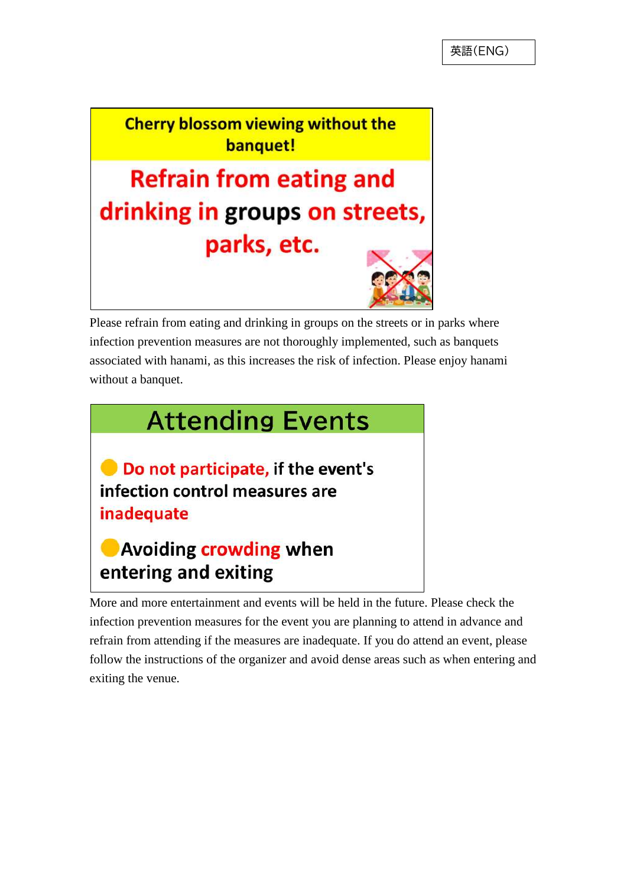**Cherry blossom viewing without the** banquet!

**Refrain from eating and** drinking in groups on streets, parks, etc.



Please refrain from eating and drinking in groups on the streets or in parks where infection prevention measures are not thoroughly implemented, such as banquets associated with hanami, as this increases the risk of infection. Please enjoy hanami without a banquet.



Do not participate, if the event's infection control measures are inadequate

## **O** Avoiding crowding when entering and exiting

More and more entertainment and events will be held in the future. Please check the infection prevention measures for the event you are planning to attend in advance and refrain from attending if the measures are inadequate. If you do attend an event, please follow the instructions of the organizer and avoid dense areas such as when entering and exiting the venue.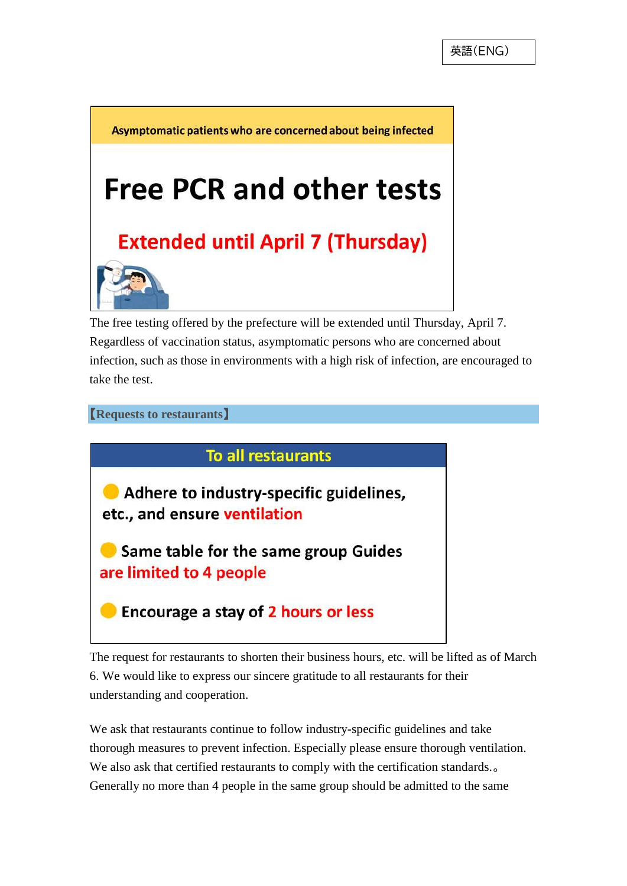Asymptomatic patients who are concerned about being infected **Free PCR and other tests Extended until April 7 (Thursday)** 

The free testing offered by the prefecture will be extended until Thursday, April 7. Regardless of vaccination status, asymptomatic persons who are concerned about infection, such as those in environments with a high risk of infection, are encouraged to take the test.

【**Requests to restaurants**】

**To all restaurants** 

Adhere to industry-specific guidelines, etc., and ensure ventilation

Same table for the same group Guides are limited to 4 people

Encourage a stay of 2 hours or less

The request for restaurants to shorten their business hours, etc. will be lifted as of March 6. We would like to express our sincere gratitude to all restaurants for their understanding and cooperation.

We ask that restaurants continue to follow industry-specific guidelines and take thorough measures to prevent infection. Especially please ensure thorough ventilation. We also ask that certified restaurants to comply with the certification standards... Generally no more than 4 people in the same group should be admitted to the same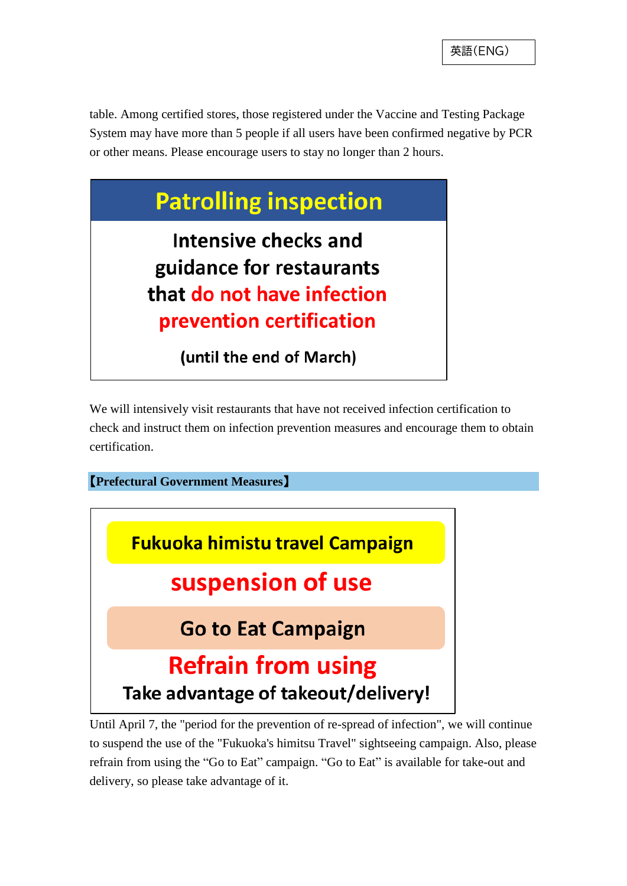table. Among certified stores, those registered under the Vaccine and Testing Package System may have more than 5 people if all users have been confirmed negative by PCR or other means. Please encourage users to stay no longer than 2 hours.



We will intensively visit restaurants that have not received infection certification to check and instruct them on infection prevention measures and encourage them to obtain certification.



Until April 7, the "period for the prevention of re-spread of infection", we will continue to suspend the use of the "Fukuoka's himitsu Travel" sightseeing campaign. Also, please refrain from using the "Go to Eat" campaign. "Go to Eat" is available for take-out and delivery, so please take advantage of it.